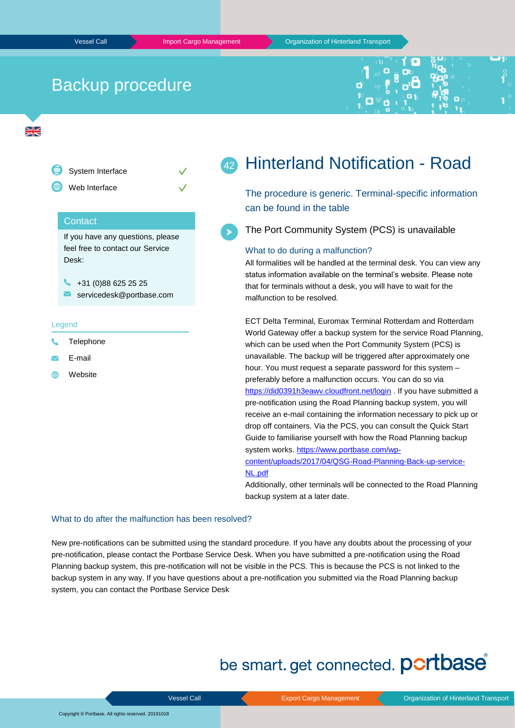## Backup procedure



 $\frac{N}{2}$ 



#### Hinterland Notification - Road 42

The procedure is generic. Terminal-specific information can be found in the table

The Port Community System (PCS) is unavailable

#### What to do during a malfunction?

All formalities will be handled at the terminal desk. You can view any status information available on the terminal's website. Please note that for terminals without a desk, you will have to wait for the malfunction to be resolved.

ECT Delta Terminal, Euromax Terminal Rotterdam and Rotterdam World Gateway offer a backup system for the service Road Planning, which can be used when the Port Community System (PCS) is unavailable. The backup will be triggered after approximately one hour. You must request a separate password for this system – preferably before a malfunction occurs. You can do so via <https://did0391h3eawv.cloudfront.net/login> . If you have submitted a pre-notification using the Road Planning backup system, you will receive an e-mail containing the information necessary to pick up or drop off containers. Via the PCS, you can consult the Quick Start Guide to familiarise yourself with how the Road Planning backup system works. [https://www.portbase.com/wp](https://www.portbase.com/wp-content/uploads/2017/04/QSG-Road-Planning-Back-up-service-NL.pdf)[content/uploads/2017/04/QSG-Road-Planning-Back-up-service-](https://www.portbase.com/wp-content/uploads/2017/04/QSG-Road-Planning-Back-up-service-NL.pdf)

### [NL.pdf](https://www.portbase.com/wp-content/uploads/2017/04/QSG-Road-Planning-Back-up-service-NL.pdf)

Additionally, other terminals will be connected to the Road Planning backup system at a later date.

#### What to do after the malfunction has been resolved?

New pre-notifications can be submitted using the standard procedure. If you have any doubts about the processing of your pre-notification, please contact the Portbase Service Desk. When you have submitted a pre-notification using the Road Planning backup system, this pre-notification will not be visible in the PCS. This is because the PCS is not linked to the backup system in any way. If you have questions about a pre-notification you submitted via the Road Planning backup system, you can contact the Portbase Service Desk

# be smart. get connected. portbase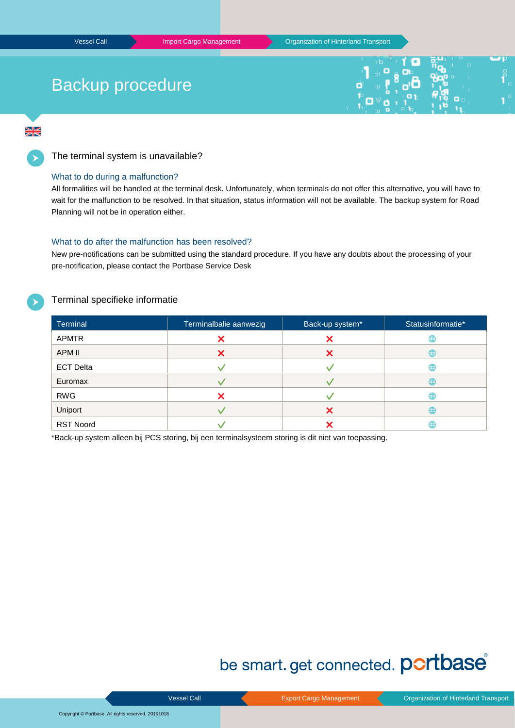# Backup procedure

 $\frac{N}{2}$ 

The terminal system is unavailable?

### What to do during a malfunction?

All formalities will be handled at the terminal desk. Unfortunately, when terminals do not offer this alternative, you will have to wait for the malfunction to be resolved. In that situation, status information will not be available. The backup system for Road Planning will not be in operation either.

### What to do after the malfunction has been resolved?

New pre-notifications can be submitted using the standard procedure. If you have any doubts about the processing of your pre-notification, please contact the Portbase Service Desk

### Terminal specifieke informatie

| <b>Terminal</b>  | Terminalbalie aanwezig | Back-up system* | Statusinformatie* |
|------------------|------------------------|-----------------|-------------------|
| <b>APMTR</b>     | ↗                      |                 | ⊕                 |
| APM II           | X                      |                 | ⊕                 |
| <b>ECT Delta</b> |                        |                 | ⊕                 |
| Euromax          |                        |                 | ⊕                 |
| <b>RWG</b>       |                        |                 | ⊕                 |
| Uniport          |                        |                 | ⊕                 |
| <b>RST Noord</b> |                        |                 | ⊕                 |

\*Back-up system alleen bij PCS storing, bij een terminalsysteem storing is dit niet van toepassing.

# be smart. get connected. portbase®